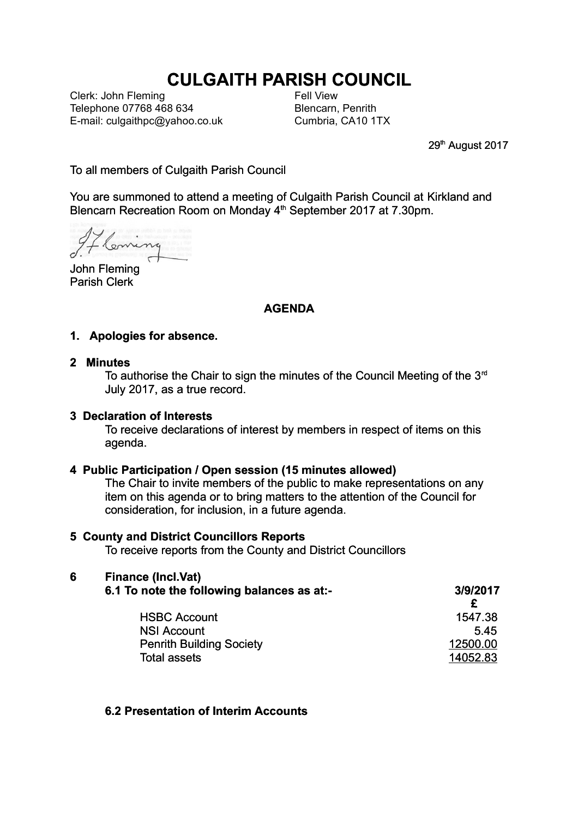# **CULGAITH PARISH COUNCIL**

Clerk: John Fleming Telephone 07768 468 634 E-mail: culgaithpc@yahoo.co.uk Fell View Blencarn, Penrith Cumbria, CA10 1TX

29<sup>th</sup> August 2017

To all members of Culgaith Parish Council

You are summoned to attend a meeting of Culgaith Parish Council at Kirkland and Blencarn Recreation Room on Monday 4<sup>th</sup> September 2017 at 7.30pm.

Coming

John Fleming Parish Clerk

## **AGENDA**

### **1. Apologies for absence.**

#### **2 Minutes**

To authorise the Chair to sign the minutes of the Council Meeting of the 3<sup>rd</sup> July 2017, as a true record.

#### **3 Declaration of Interests**

To receive declarations of interest by members in respect of items on this agenda.

#### **4 Public Participation / Open session (15 minutes allowed)**

The Chair to invite members of the public to make representations on any item on this agenda or to bring matters to the attention of the Council for consideration, for inclusion, in a future agenda.

#### **5 County and District Councillors Reports**

To receive reports from the County and District Councillors

# **6 Finance (Incl.Vat)**

| 6.1 To note the following balances as at:- | 3/9/2017 |
|--------------------------------------------|----------|
|                                            |          |
| <b>HSBC Account</b>                        | 1547.38  |
| <b>NSI Account</b>                         | .545     |
| <b>Penrith Building Society</b>            | 12500.00 |
| Total assets                               | 14052.83 |

#### **6.2 Presentation of Interim Accounts**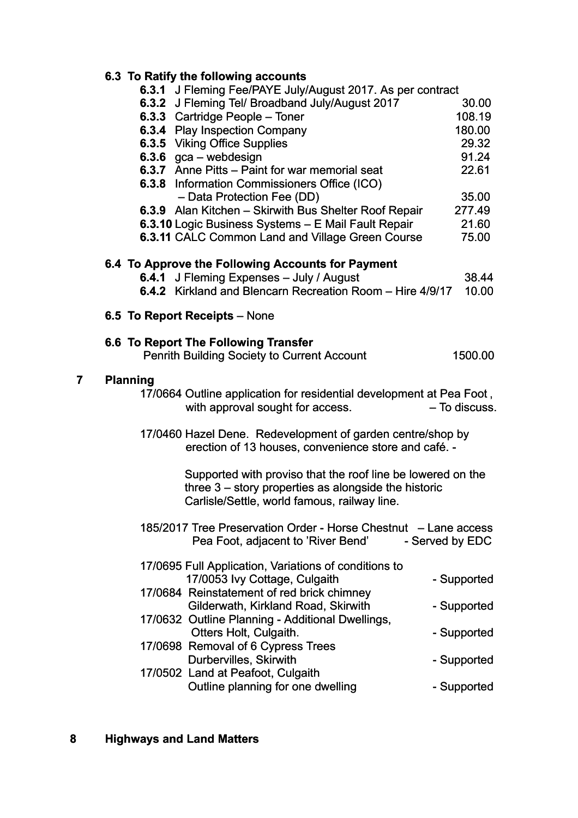# **6.3 To Ratify the following accounts**

| 6.3.1 J Fleming Fee/PAYE July/August 2017. As per contract           |                 |
|----------------------------------------------------------------------|-----------------|
| 6.3.2 J Fleming Tell Broadband July/August 2017                      | 30.00           |
| 6.3.3 Cartridge People - Toner                                       | 108.19          |
| 6.3.4 Play Inspection Company                                        | 180.00          |
| <b>6.3.5 Viking Office Supplies</b>                                  | 29.32           |
| 6.3.6 $gca - webdesign$                                              | 91.24           |
| 6.3.7 Anne Pitts - Paint for war memorial seat                       | 22.61           |
| 6.3.8 Information Commissioners Office (ICO)                         |                 |
| - Data Protection Fee (DD)                                           | 35.00           |
| 6.3.9 Alan Kitchen - Skirwith Bus Shelter Roof Repair                | 277.49          |
| 6.3.10 Logic Business Systems - E Mail Fault Repair                  | 21.60           |
| 6.3.11 CALC Common Land and Village Green Course                     | 75.00           |
| 6.4 To Approve the Following Accounts for Payment                    |                 |
| 6.4.1 J Fleming Expenses - July / August                             | 38.44           |
| 6.4.2 Kirkland and Blencarn Recreation Room - Hire 4/9/17            | 10.00           |
|                                                                      |                 |
| 6.5 To Report Receipts - None                                        |                 |
| 6.6 To Report The Following Transfer                                 |                 |
| <b>Penrith Building Society to Current Account</b>                   | 1500.00         |
| <b>Planning</b>                                                      |                 |
| 17/0664 Outline application for residential development at Pea Foot, |                 |
| with approval sought for access.                                     | - To discuss.   |
|                                                                      |                 |
| 17/0460 Hazel Dene. Redevelopment of garden centre/shop by           |                 |
| erection of 13 houses, convenience store and café. -                 |                 |
| Supported with proviso that the roof line be lowered on the          |                 |
| three 3 – story properties as alongside the historic                 |                 |
| Carlisle/Settle, world famous, railway line.                         |                 |
| 185/2017 Tree Preservation Order - Horse Chestnut - Lane access      |                 |
| Pea Foot, adjacent to 'River Bend'                                   | - Served by EDC |
|                                                                      |                 |
| 17/0695 Full Application, Variations of conditions to                |                 |
| 17/0053 Ivy Cottage, Culgaith                                        | - Supported     |
| 17/0684 Reinstatement of red brick chimney                           |                 |
| Gilderwath, Kirkland Road, Skirwith                                  | - Supported     |
| 17/0632 Outline Planning - Additional Dwellings,                     |                 |
| Otters Holt, Culgaith.                                               | - Supported     |
| 17/0698 Removal of 6 Cypress Trees                                   |                 |
| Durbervilles, Skirwith                                               | - Supported     |
| 17/0502 Land at Peafoot, Culgaith                                    |                 |
| Outline planning for one dwelling                                    | - Supported     |

 **7 Planning**